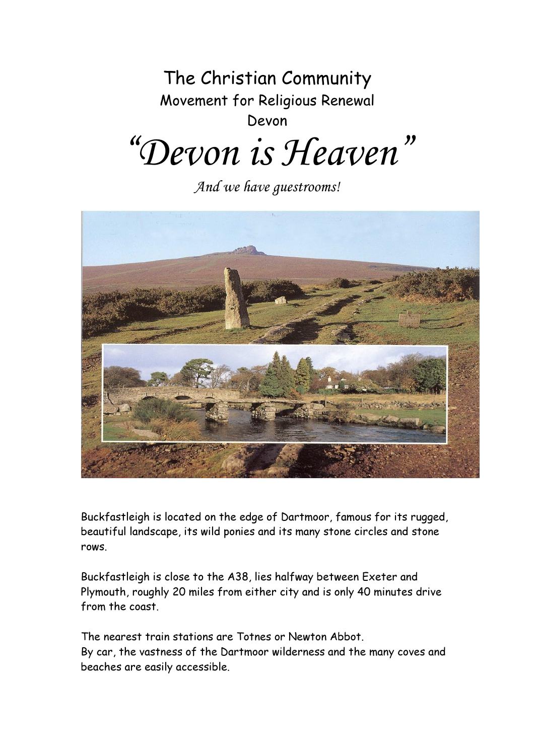## The Christian Community Movement for Religious Renewal Devon "Devon is Heaven"

And we have guestrooms!



Buckfastleigh is located on the edge of Dartmoor, famous for its rugged, beautiful landscape, its wild ponies and its many stone circles and stone rows.

Buckfastleigh is close to the A38, lies halfway between Exeter and Plymouth, roughly 20 miles from either city and is only 40 minutes drive from the coast.

The nearest train stations are Totnes or Newton Abbot. By car, the vastness of the Dartmoor wilderness and the many coves and beaches are easily accessible.